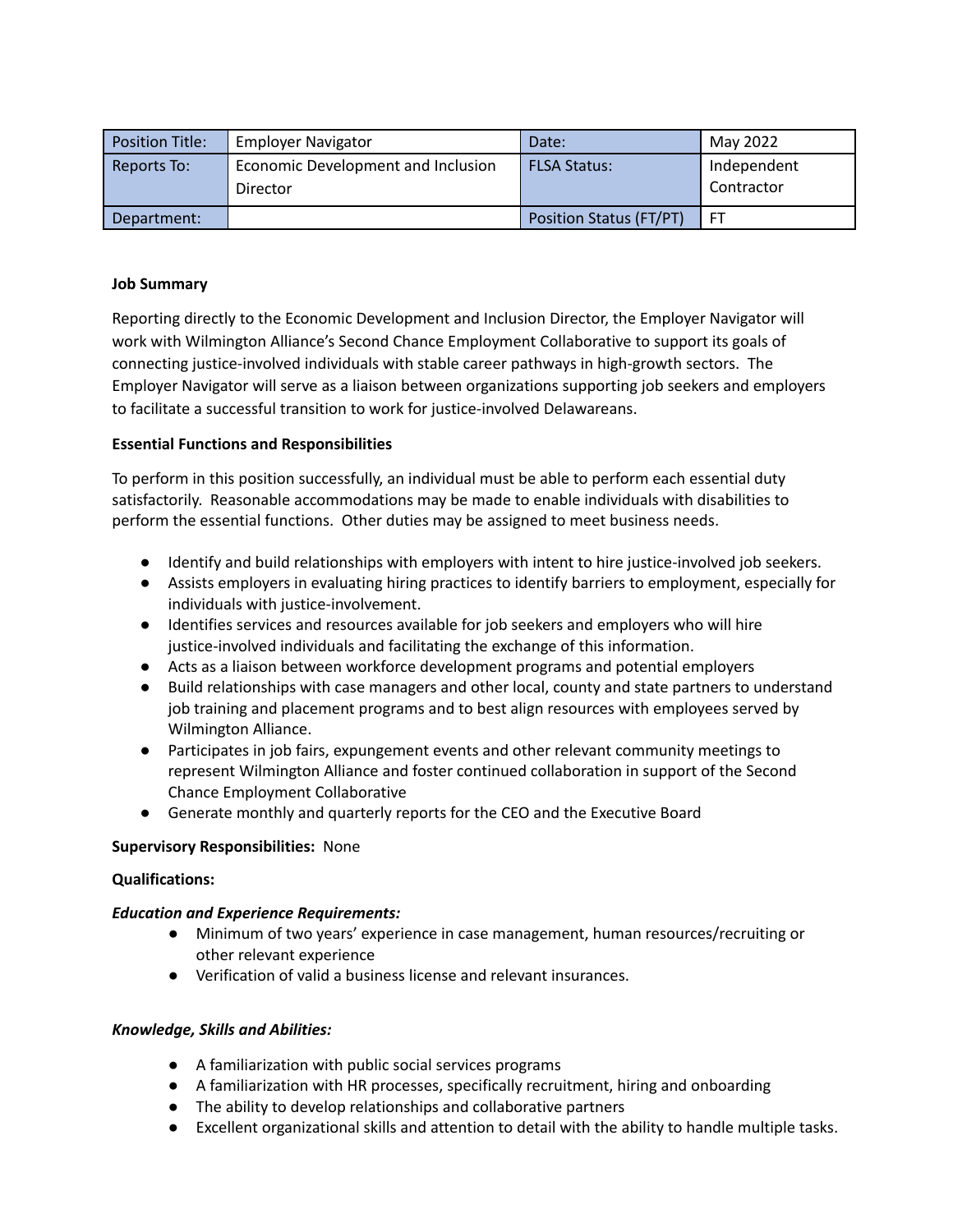| <b>Position Title:</b> | <b>Employer Navigator</b>                      | Date:                          | May 2022                  |
|------------------------|------------------------------------------------|--------------------------------|---------------------------|
| Reports To:            | Economic Development and Inclusion<br>Director | <b>FLSA Status:</b>            | Independent<br>Contractor |
| Department:            |                                                | <b>Position Status (FT/PT)</b> |                           |

### **Job Summary**

Reporting directly to the Economic Development and Inclusion Director, the Employer Navigator will work with Wilmington Alliance's Second Chance Employment Collaborative to support its goals of connecting justice-involved individuals with stable career pathways in high-growth sectors. The Employer Navigator will serve as a liaison between organizations supporting job seekers and employers to facilitate a successful transition to work for justice-involved Delawareans.

#### **Essential Functions and Responsibilities**

To perform in this position successfully, an individual must be able to perform each essential duty satisfactorily. Reasonable accommodations may be made to enable individuals with disabilities to perform the essential functions. Other duties may be assigned to meet business needs.

- Identify and build relationships with employers with intent to hire justice-involved job seekers.
- Assists employers in evaluating hiring practices to identify barriers to employment, especially for individuals with justice-involvement.
- Identifies services and resources available for job seekers and employers who will hire justice-involved individuals and facilitating the exchange of this information.
- Acts as a liaison between workforce development programs and potential employers
- Build relationships with case managers and other local, county and state partners to understand job training and placement programs and to best align resources with employees served by Wilmington Alliance.
- Participates in job fairs, expungement events and other relevant community meetings to represent Wilmington Alliance and foster continued collaboration in support of the Second Chance Employment Collaborative
- Generate monthly and quarterly reports for the CEO and the Executive Board

## **Supervisory Responsibilities:** None

## **Qualifications:**

## *Education and Experience Requirements:*

- Minimum of two years' experience in case management, human resources/recruiting or other relevant experience
- Verification of valid a business license and relevant insurances.

#### *Knowledge, Skills and Abilities:*

- A familiarization with public social services programs
- A familiarization with HR processes, specifically recruitment, hiring and onboarding
- The ability to develop relationships and collaborative partners
- Excellent organizational skills and attention to detail with the ability to handle multiple tasks.